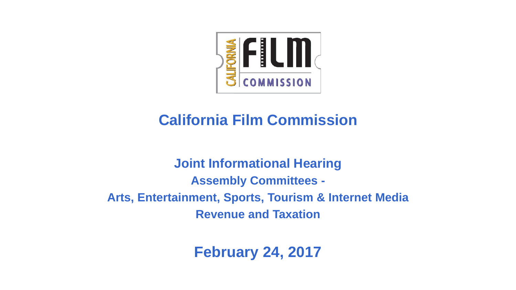

### **California Film Commission**

**Joint Informational Hearing Assembly Committees - Arts, Entertainment, Sports, Tourism & Internet Media Revenue and Taxation**

**February 24, 2017**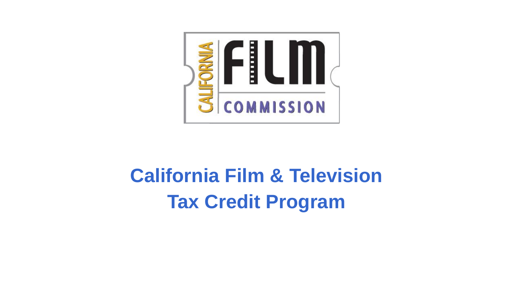

# **California Film & Television Tax Credit Program**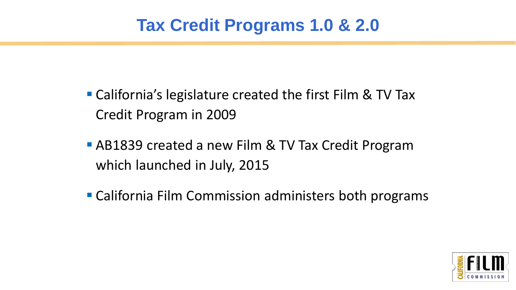### **Tax Credit Programs 1.0 & 2.0**

- California's legislature created the first Film & TV Tax Credit Program in 2009
- AB1839 created a new Film & TV Tax Credit Program which launched in July, 2015
- California Film Commission administers both programs

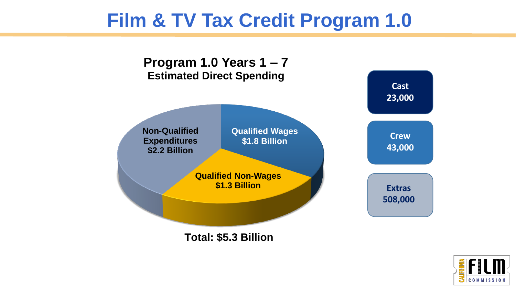# **Film & TV Tax Credit Program 1.0**



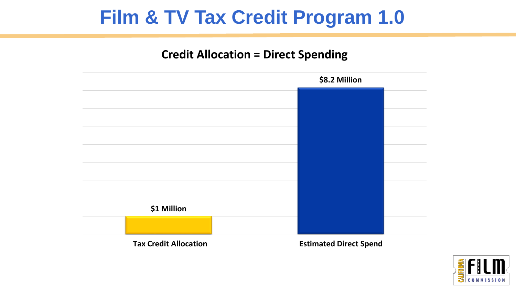# **Film & TV Tax Credit Program 1.0**

#### **Credit Allocation = Direct Spending**



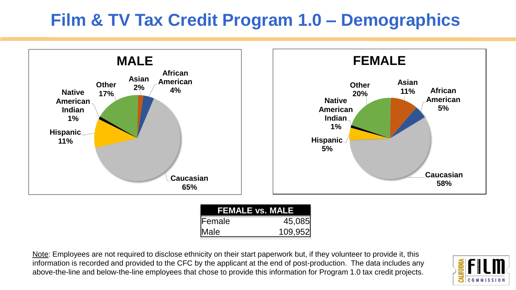### **Film & TV Tax Credit Program 1.0 – Demographics**



| <b>FEMALE vs. MALE</b> |         |
|------------------------|---------|
| Female                 | 45,085  |
| Male                   | 109,952 |

Note: Employees are not required to disclose ethnicity on their start paperwork but, if they volunteer to provide it, this information is recorded and provided to the CFC by the applicant at the end of post-production. The data includes any above-the-line and below-the-line employees that chose to provide this information for Program 1.0 tax credit projects.

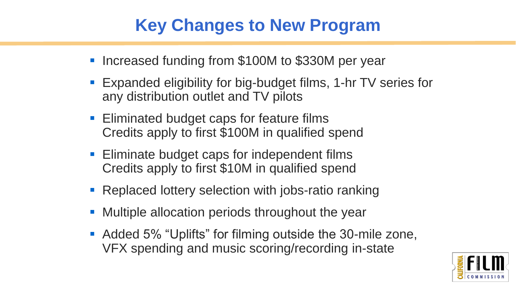### **Key Changes to New Program**

- Increased funding from \$100M to \$330M per year
- Expanded eligibility for big-budget films, 1-hr TV series for any distribution outlet and TV pilots
- **Eliminated budget caps for feature films** Credits apply to first \$100M in qualified spend
- **Eliminate budget caps for independent films** Credits apply to first \$10M in qualified spend
- Replaced lottery selection with jobs-ratio ranking
- Multiple allocation periods throughout the year
- **Added 5% "Uplifts" for filming outside the 30-mile zone,** VFX spending and music scoring/recording in-state

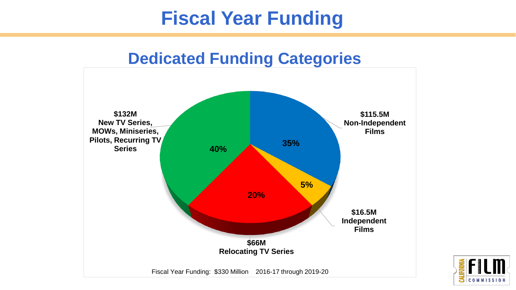# **Fiscal Year Funding**

### **Dedicated Funding Categories**



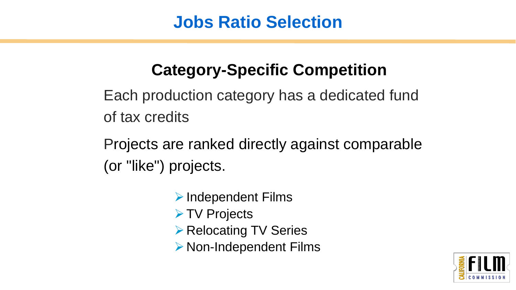### **Jobs Ratio Selection**

# **Category-Specific Competition**

Each production category has a dedicated fund of tax credits

Projects are ranked directly against comparable (or "like") projects.

- $\triangleright$  Independent Films
- **≻ TV Projects**
- ▶ Relocating TV Series
- ▶ Non-Independent Films

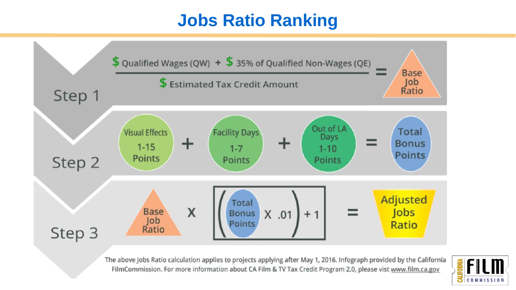### **Jobs Ratio Ranking**



The above Jobs Ratio calculation applies to projects applying after May 1, 2016. Infograph provided by the California FilmCommission. For more information about CA Film & TV Tax Credit Program 2.0, please vist www.film.ca.gov

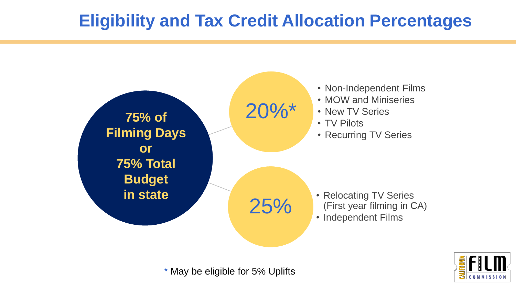### **Eligibility and Tax Credit Allocation Percentages**



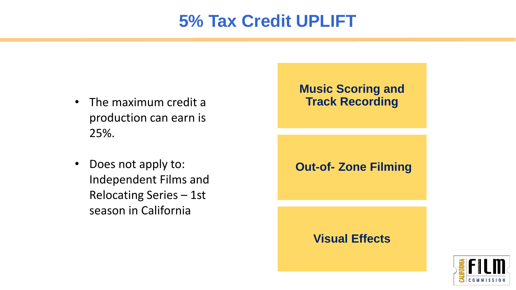### **5% Tax Credit UPLIFT**

- The maximum credit a production can earn is 25%.
- Does not apply to: Independent Films and Relocating Series – 1st season in California

#### **Music Scoring and Track Recording**

**Out-of- Zone Filming**

#### **Visual Effects**

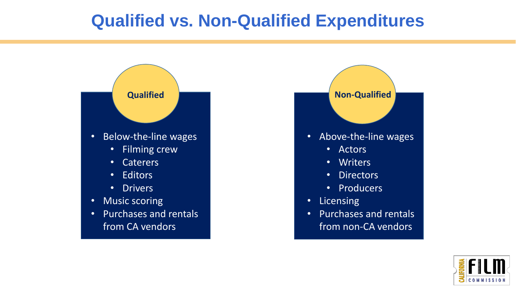### **Qualified vs. Non-Qualified Expenditures**





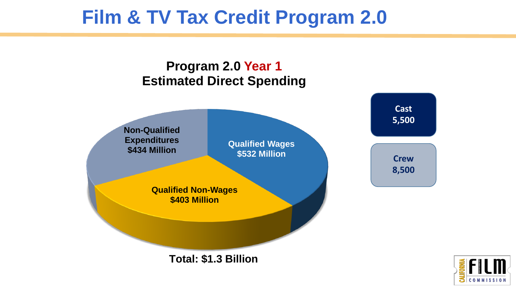# **Film & TV Tax Credit Program 2.0**



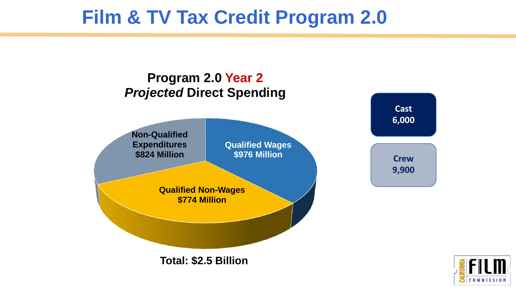# **Film & TV Tax Credit Program 2.0**



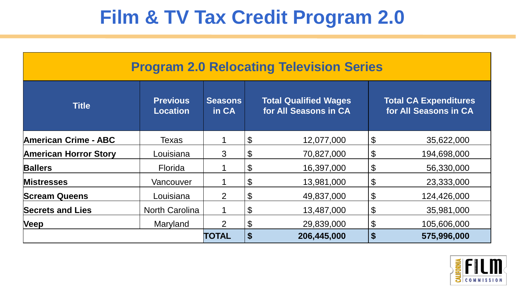# **Film & TV Tax Credit Program 2.0**

| <b>Program 2.0 Relocating Television Series</b> |                                    |                         |                             |                                                       |                            |                                                       |  |
|-------------------------------------------------|------------------------------------|-------------------------|-----------------------------|-------------------------------------------------------|----------------------------|-------------------------------------------------------|--|
| <b>Title</b>                                    | <b>Previous</b><br><b>Location</b> | <b>Seasons</b><br>in CA |                             | <b>Total Qualified Wages</b><br>for All Seasons in CA |                            | <b>Total CA Expenditures</b><br>for All Seasons in CA |  |
| <b>American Crime - ABC</b>                     | Texas                              |                         | \$                          | 12,077,000                                            | $\boldsymbol{\theta}$      | 35,622,000                                            |  |
| <b>American Horror Story</b>                    | Louisiana                          | 3                       | \$                          | 70,827,000                                            | $\boldsymbol{\theta}$      | 194,698,000                                           |  |
| <b>Ballers</b>                                  | <b>Florida</b>                     |                         | \$                          | 16,397,000                                            | $\boldsymbol{\theta}$      | 56,330,000                                            |  |
| <b>Mistresses</b>                               | Vancouver                          |                         | \$                          | 13,981,000                                            | $\boldsymbol{\theta}$      | 23,333,000                                            |  |
| <b>Scream Queens</b>                            | Louisiana                          | $\overline{2}$          | \$                          | 49,837,000                                            | $\boldsymbol{\mathsf{\$}}$ | 124,426,000                                           |  |
| <b>Secrets and Lies</b>                         | <b>North Carolina</b>              |                         | \$                          | 13,487,000                                            | $\boldsymbol{\theta}$      | 35,981,000                                            |  |
| <b>Veep</b>                                     | Maryland                           | $\overline{2}$          | \$                          | 29,839,000                                            | $\boldsymbol{\theta}$      | 105,606,000                                           |  |
|                                                 |                                    | <b>TOTAL</b>            | $\boldsymbol{\hat{\theta}}$ | 206,445,000                                           | $\boldsymbol{\$}$          | 575,996,000                                           |  |

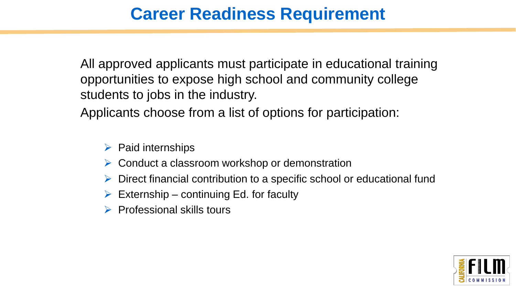### **Career Readiness Requirement**

All approved applicants must participate in educational training opportunities to expose high school and community college students to jobs in the industry.

Applicants choose from a list of options for participation:

- $\triangleright$  Paid internships
- $\triangleright$  Conduct a classroom workshop or demonstration
- Direct financial contribution to a specific school or educational fund
- $\triangleright$  Externship continuing Ed. for faculty
- $\triangleright$  Professional skills tours

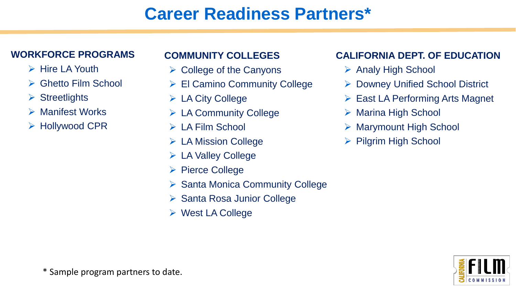### **Career Readiness Partners\***

#### **WORKFORCE PROGRAMS**

- $\triangleright$  Hire LA Youth
- **► Ghetto Film School**
- $\triangleright$  Streetlights
- **► Manifest Works**
- Hollywood CPR

#### **COMMUNITY COLLEGES**

- $\triangleright$  College of the Canyons
- El Camino Community College
- $\triangleright$  LA City College
- $\triangleright$  LA Community College
- $\triangleright$  LA Film School
- $\triangleright$  LA Mission College
- LA Valley College
- $\triangleright$  Pierce College
- ▶ Santa Monica Community College
- ▶ Santa Rosa Junior College
- West LA College

#### **CALIFORNIA DEPT. OF EDUCATION**

- **▶ Analy High School**
- **▶ Downey Unified School District**
- $\triangleright$  East LA Performing Arts Magnet
- **▶ Marina High School**
- Marymount High School
- $\triangleright$  Pilgrim High School

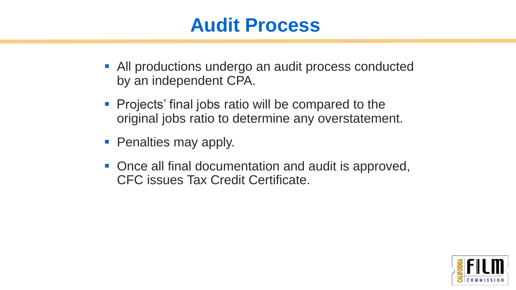# **Audit Process**

- All productions undergo an audit process conducted by an independent CPA.
- **Projects' final jobs ratio will be compared to the** original jobs ratio to determine any overstatement.
- Penalties may apply.
- Once all final documentation and audit is approved, CFC issues Tax Credit Certificate.

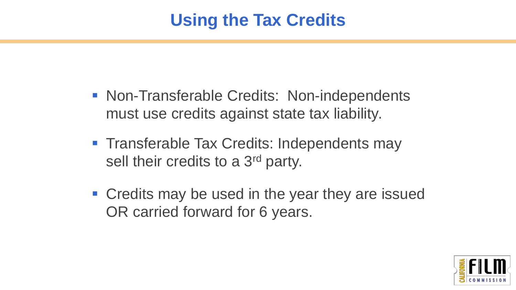### **Using the Tax Credits**

- Non-Transferable Credits: Non-independents must use credits against state tax liability.
- **Transferable Tax Credits: Independents may** sell their credits to a 3<sup>rd</sup> party.
- Credits may be used in the year they are issued OR carried forward for 6 years.